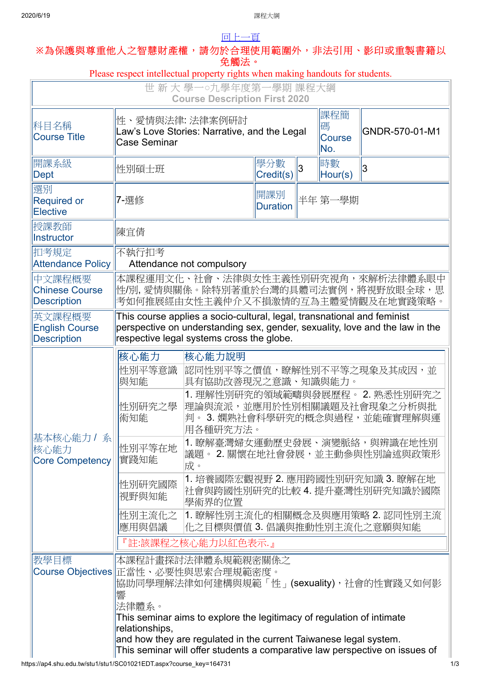## 2020/6/19 課程大綱 [回上一頁](javascript:history.back()) **※**為保護與尊重他人之智慧財產權,請勿於合理使用範圍外,非法引用、影印或重製書籍以 免觸法。 Please respect intellectual property rights when making handouts for students. 世 新 大 學一**○**九學年度第一學期 課程大綱 **Course Description First 2020** 科目名稱 Course Title 性、愛情與法律: 法律案例研討 Law's Love Stories: Narrative, and the Legal Case Seminar 課程簡 碼 **Course** No. GNDR-570-01-M1 開課系級 開課系級 <mark>學分數</mark><br>Dept <mark>Credit(</mark>s 學分數 3 |時數<br>Credit(s) | Hour <sup>l吋數</sup><br>Hour(s) 3 選別 Required or **Elective** 7-選修 インディング 開課別 *開課*別 Duration 半年 第一學期 授課教師 <sup>1又吥孜卹</sup> <mark>|陳宜倩</mark> 扣考規定 Attendance Policy 不執行扣考 Attendance not compulsory 中文課程概要 Chinese Course **Description** 本課程運用文化、社會、法律與女性主義性別研究視角,來解析法律體系眼中 性/別, 愛情與關係。除特別著重於台灣的具體司法實例,將視野放眼全球, 思 考如何推展經由女性主義仲介又不損激情的互為主體愛情觀及在地實踐策略。 英文課程概要 English Course **Description** This course applies a socio-cultural, legal, transnational and feminist perspective on understanding sex, gender, sexuality, love and the law in the respective legal systems cross the globe. 基本核心能力 / 系 核心能力 Core Competency 核心能力 核心能力說明 性別平等意識 與知能 認同性別平等之價值,瞭解性別不平等之現象及其成因,並 具有協助改善現況之意識、知識與能力。 性別研究之學 術知能 1. 理解性別研究的領域範疇與發展歷程。 2. 熟悉性別研究之 理論與流派,並應用於性別相關議題及社會現象之分析與批 判。 3. 嫻熟社會科學研究的概念與過程,並能確實理解與運 用各種研究方法。 性別平等在地 實踐知能 1. 瞭解臺灣婦女運動歷史發展、演變脈絡,與辨識在地性別 議題。 2. 關懷在地社會發展,並主動參與性別論述與政策形 成。 性別研究國際 視野與知能 1. 培養國際宏觀視野 2. 應用跨國性別研究知識 3. 瞭解在地 社會與跨國性別研究的比較 4. 提升臺灣性別研究知識於國際 學術界的位置 1. 瞭解性別主流化的相關概念及與應用策略 2. 認同性別主流

https://ap4.shu.edu.tw/stu1/stu1/SC01021EDT.aspx?course\_key=164731 1/3 性別主流化之 應用與倡議 化之目標與價值 3. 倡議與推動性別主流化之意願與知能 『註:該課程之核心能力以紅色表示.』 教學目標 Course Objectives 正當性、必要性與思索合理規範密度。 本課程計畫探討法律體系規範親密關係之 協助同學理解法律如何建構與規範「性」(sexuality),社會的性實踐又如何影 響 法律體系。 This seminar aims to explore the legitimacy of regulation of intimate relationships, and how they are regulated in the current Taiwanese legal system. This seminar will offer students a comparative law perspective on issues of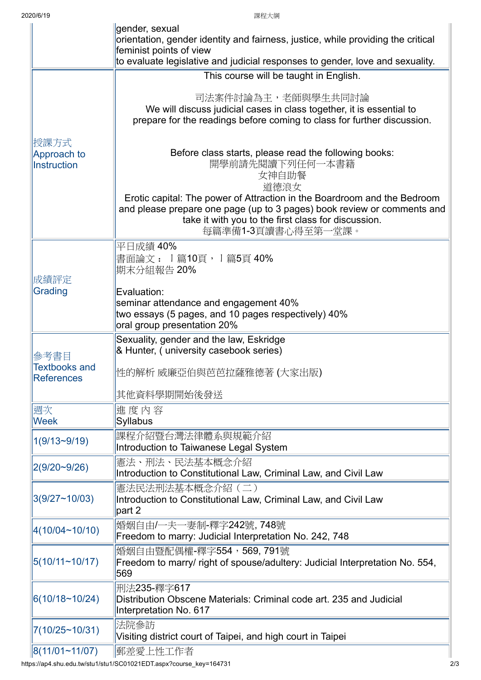|                                           | gender, sexual<br>orientation, gender identity and fairness, justice, while providing the critical<br>feminist points of view<br>to evaluate legislative and judicial responses to gender, love and sexuality.                   |
|-------------------------------------------|----------------------------------------------------------------------------------------------------------------------------------------------------------------------------------------------------------------------------------|
|                                           | This course will be taught in English.                                                                                                                                                                                           |
|                                           | 司法案件討論為主,老師與學生共同討論<br>We will discuss judicial cases in class together, it is essential to<br>prepare for the readings before coming to class for further discussion.                                                            |
| 授課方式<br>Approach to<br>Instruction        | Before class starts, please read the following books:<br>開學前請先閱讀下列任何一本書籍<br>女神自助餐<br>道德浪女                                                                                                                                        |
|                                           | Erotic capital: The power of Attraction in the Boardroom and the Bedroom<br>and please prepare one page (up to 3 pages) book review or comments and<br>take it with you to the first class for discussion.<br>每篇準備1-3頁讀書心得至第一堂課。 |
| 成績評定                                      | 平日成績 40%<br>書面論文 : Ⅰ篇10頁,Ⅰ篇5頁 40%<br> 期末分組報告 20%                                                                                                                                                                                 |
| Grading                                   | Evaluation:<br>seminar attendance and engagement 40%<br>two essays (5 pages, and 10 pages respectively) 40%<br>oral group presentation 20%                                                                                       |
| 參考書目                                      | Sexuality, gender and the law, Eskridge<br>& Hunter, (university casebook series)                                                                                                                                                |
| <b>Textbooks and</b><br><b>References</b> | 性的解析 威廉亞伯與芭芭拉薩雅德著 (大家出版)                                                                                                                                                                                                         |
|                                           | 其他資料學期開始後發送                                                                                                                                                                                                                      |
| 週次<br><b>Week</b>                         | 進度內容<br>Syllabus                                                                                                                                                                                                                 |
| $1(9/13-9/19)$                            | 課程介紹暨台灣法律體系與規範介紹<br>Introduction to Taiwanese Legal System                                                                                                                                                                       |
| 2(9/20~9/26)                              | 憲法、刑法、民法基本概念介紹<br>Introduction to Constitutional Law, Criminal Law, and Civil Law                                                                                                                                                |
| 3(9/27~10/03)                             | 憲法民法刑法基本概念介紹 (二)<br>Introduction to Constitutional Law, Criminal Law, and Civil Law<br>part 2                                                                                                                                    |
| 4(10/04~10/10)                            | 婚姻自由/一夫一妻制-釋字242號, 748號<br>Freedom to marry: Judicial Interpretation No. 242, 748                                                                                                                                                |
| 5(10/11~10/17)                            | 婚姻自由暨配偶權-釋字554,569,791號<br>Freedom to marry/ right of spouse/adultery: Judicial Interpretation No. 554,<br>569                                                                                                                   |
| 6(10/18~10/24)                            | 刑法235-釋字617<br>Distribution Obscene Materials: Criminal code art. 235 and Judicial<br>Interpretation No. 617                                                                                                                     |
| 7(10/25~10/31)                            | 法院参訪<br>Visiting district court of Taipei, and high court in Taipei                                                                                                                                                              |
| 8(11/01~1/07)                             | 郵差愛上性工作者                                                                                                                                                                                                                         |